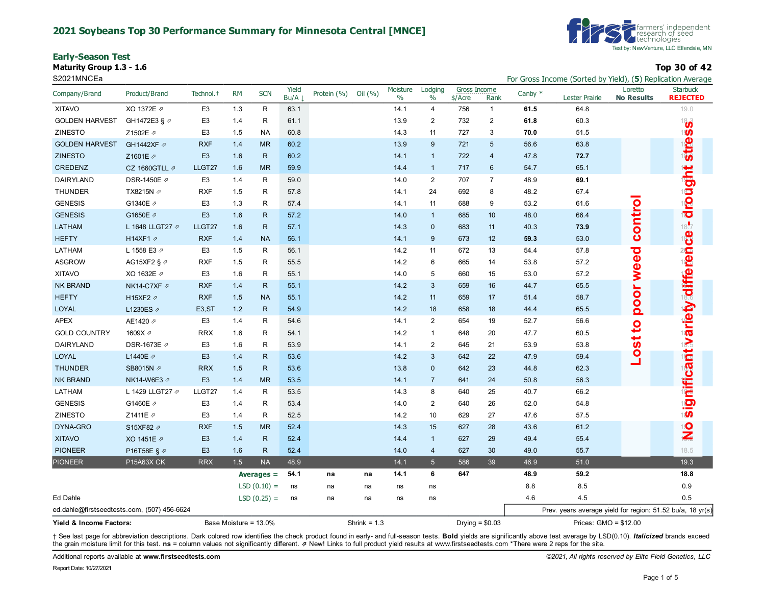#### **2021 Soybeans Top 30 Performance Summary for Minnesota Central [MNCE]**

**Early-Season Test**

**Maturity Group 1.3 - 1.6 Top 30 of 42**



S2021MNCEa For Gross Income (Sorted by Yield), (5) Replication Average **For Gross Income (Sorted by Yield), (5)** Replication Average

| Company/Brand                               | Product/Brand           | Technol. <sup>+</sup> | <b>RM</b>             | <b>SCN</b>    | Yield<br>Bu/A | Protein (%) | Oil (%)        | Moisture<br>$\%$ | Lodging<br>$\%$ | Gross Income<br>\$/Acre | Rank                    | Canby $*$ | <b>Lester Prairie</b>                                      | Loretto<br><b>No Results</b> | <b>Starbuck</b><br><b>REJECTED</b> |
|---------------------------------------------|-------------------------|-----------------------|-----------------------|---------------|---------------|-------------|----------------|------------------|-----------------|-------------------------|-------------------------|-----------|------------------------------------------------------------|------------------------------|------------------------------------|
| <b>XITAVO</b>                               | XO 1372E 2              | E <sub>3</sub>        | 1.3                   | $\mathsf R$   | 63.1          |             |                | 14.1             | $\overline{4}$  | 756                     | $\mathbf{1}$            | 61.5      | 64.8                                                       |                              | 19.0                               |
| <b>GOLDEN HARVEST</b>                       | GH1472E3 § 2            | E <sub>3</sub>        | 1.4                   | $\mathsf R$   | 61.1          |             |                | 13.9             | $\overline{2}$  | 732                     | $\overline{\mathbf{c}}$ | 61.8      | 60.3                                                       |                              | $\mathbf{a}^{\dagger}$             |
| ZINESTO                                     | Z1502E ク                | E <sub>3</sub>        | 1.5                   | <b>NA</b>     | 60.8          |             |                | 14.3             | 11              | 727                     | 3                       | 70.0      | 51.5                                                       |                              | 1 <b>50</b>                        |
| <b>GOLDEN HARVEST</b>                       | GH1442XF 2              | <b>RXF</b>            | 1.4                   | <b>MR</b>     | 60.2          |             |                | 13.9             | 9               | 721                     | 5                       | 56.6      | 63.8                                                       |                              | <b>stre</b>                        |
| <b>ZINESTO</b>                              | Z1601E 2                | E <sub>3</sub>        | 1.6                   | $\mathsf{R}$  | 60.2          |             |                | 14.1             | $\overline{1}$  | 722                     | $\overline{4}$          | 47.8      | 72.7                                                       |                              |                                    |
| CREDENZ                                     | CZ 1660GTLL 2           | LLGT27                | 1.6                   | <b>MR</b>     | 59.9          |             |                | 14.4             | $\overline{1}$  | 717                     | 6                       | 54.7      | 65.1                                                       |                              |                                    |
| DAIRYLAND                                   | DSR-1450E ク             | E <sub>3</sub>        | 1.4                   | $\mathsf{R}$  | 59.0          |             |                | 14.0             | $\overline{2}$  | 707                     | $\overline{7}$          | 48.9      | 69.1                                                       |                              |                                    |
| <b>THUNDER</b>                              | TX8215N /               | <b>RXF</b>            | 1.5                   | R             | 57.8          |             |                | 14.1             | 24              | 692                     | 8                       | 48.2      | 67.4                                                       |                              |                                    |
| <b>GENESIS</b>                              | G1340E 2                | E <sub>3</sub>        | 1.3                   | R             | 57.4          |             |                | 14.1             | 11              | 688                     | 9                       | 53.2      | 61.6                                                       |                              | drought                            |
| <b>GENESIS</b>                              | G1650E 2                | E <sub>3</sub>        | 1.6                   | $\mathsf{R}$  | 57.2          |             |                | 14.0             | $\overline{1}$  | 685                     | 10                      | 48.0      | 66.4                                                       | contro                       |                                    |
| LATHAM                                      | L 1648 LLGT27 2         | LLGT27                | 1.6                   | $\mathsf{R}$  | 57.1          |             |                | 14.3             | $\mathbf 0$     | 683                     | 11                      | 40.3      | 73.9                                                       |                              | $\frac{18.7}{18}$                  |
| <b>HEFTY</b>                                | H14XF1 2                | <b>RXF</b>            | 1.4                   | <b>NA</b>     | 56.1          |             |                | 14.1             | 9               | 673                     | 12                      | 59.3      | 53.0                                                       |                              |                                    |
| LATHAM                                      | L 1558 E3 2             | E <sub>3</sub>        | 1.5                   | ${\sf R}$     | 56.1          |             |                | 14.2             | 11              | 672                     | 13                      | 54.4      | 57.8                                                       |                              |                                    |
| <b>ASGROW</b>                               | AG15XF2 § $\varnothing$ | <b>RXF</b>            | 1.5                   | $\mathsf{R}$  | 55.5          |             |                | 14.2             | 6               | 665                     | 14                      | 53.8      | 57.2                                                       |                              |                                    |
| <b>XITAVO</b>                               | XO 1632E 2              | E <sub>3</sub>        | 1.6                   | $\mathsf{R}$  | 55.1          |             |                | 14.0             | 5               | 660                     | 15                      | 53.0      | 57.2                                                       | weed                         |                                    |
| <b>NK BRAND</b>                             | NK14-C7XF 2             | <b>RXF</b>            | 1.4                   | $\mathsf{R}$  | 55.1          |             |                | 14.2             | $\mathbf{3}$    | 659                     | 16                      | 44.7      | 65.5                                                       |                              | s ignificant wariety alifferen     |
| <b>HEFTY</b>                                | H15XF2 2                | <b>RXF</b>            | 1.5                   | <b>NA</b>     | 55.1          |             |                | 14.2             | 11              | 659                     | 17                      | 51.4      | 58.7                                                       |                              |                                    |
| <b>LOYAL</b>                                | L1230ES 2               | E <sub>3</sub> , ST   | 1.2                   | $\mathsf{R}$  | 54.9          |             |                | 14.2             | 18              | 658                     | 18                      | 44.4      | 65.5                                                       | poor                         |                                    |
| <b>APEX</b>                                 | AE1420 2                | E <sub>3</sub>        | 1.4                   | $\mathsf{R}$  | 54.6          |             |                | 14.1             | 2               | 654                     | 19                      | 52.7      | 56.6                                                       | $\mathbf{S}$                 |                                    |
| <b>GOLD COUNTRY</b>                         | 1609X 2                 | <b>RRX</b>            | 1.6                   | $\mathsf{R}$  | 54.1          |             |                | 14.2             | $\mathbf{1}$    | 648                     | 20                      | 47.7      | 60.5                                                       |                              |                                    |
| DAIRYLAND                                   | DSR-1673E 2             | E <sub>3</sub>        | 1.6                   | $\mathsf{R}$  | 53.9          |             |                | 14.1             | $\overline{2}$  | 645                     | 21                      | 53.9      | 53.8                                                       | Lost                         |                                    |
| LOYAL                                       | L1440E ク                | E <sub>3</sub>        | 1.4                   | $\mathsf{R}$  | 53.6          |             |                | 14.2             | $\mathbf{3}$    | 642                     | 22                      | 47.9      | 59.4                                                       |                              |                                    |
| <b>THUNDER</b>                              | SB8015N 2               | <b>RRX</b>            | 1.5                   | $\mathsf{R}$  | 53.6          |             |                | 13.8             | $\mathbf{0}$    | 642                     | 23                      | 44.8      | 62.3                                                       |                              |                                    |
| <b>NK BRAND</b>                             | NK14-W6E3 Ø             | E <sub>3</sub>        | 1.4                   | <b>MR</b>     | 53.5          |             |                | 14.1             | $\overline{7}$  | 641                     | 24                      | 50.8      | 56.3                                                       |                              |                                    |
| LATHAM                                      | L 1429 LLGT27 2         | LLGT27                | 1.4                   | $\mathsf{R}$  | 53.5          |             |                | 14.3             | 8               | 640                     | 25                      | 40.7      | 66.2                                                       |                              |                                    |
| <b>GENESIS</b>                              | G1460E /                | E <sub>3</sub>        | 1.4                   | R             | 53.4          |             |                | 14.0             | $\overline{2}$  | 640                     | 26                      | 52.0      | 54.8                                                       |                              |                                    |
| <b>ZINESTO</b>                              | Z1411E 2                | E <sub>3</sub>        | 1.4                   | R             | 52.5          |             |                | 14.2             | 10              | 629                     | 27                      | 47.6      | 57.5                                                       |                              |                                    |
| DYNA-GRO                                    | S15XF82 2               | <b>RXF</b>            | 1.5                   | <b>MR</b>     | 52.4          |             |                | 14.3             | 15              | 627                     | 28                      | 43.6      | 61.2                                                       |                              | $\frac{1}{2}$                      |
| <b>XITAVO</b>                               | XO 1451E 2              | E <sub>3</sub>        | 1.4                   | $\mathsf{R}$  | 52.4          |             |                | 14.4             | $\overline{1}$  | 627                     | 29                      | 49.4      | 55.4                                                       |                              |                                    |
| <b>PIONEER</b>                              | P16T58E § ク             | E <sub>3</sub>        | 1.6                   | $\mathsf{R}$  | 52.4          |             |                | 14.0             | $\overline{4}$  | 627                     | 30                      | 49.0      | 55.7                                                       |                              | 18.5                               |
| <b>PIONEER</b>                              | P15A63X CK              | <b>RRX</b>            | 1.5                   | <b>NA</b>     | 48.9          |             |                | 14.1             | $5\phantom{.0}$ | 586                     | 39                      | 46.9      | 51.0                                                       |                              | 19.3                               |
|                                             |                         |                       |                       | Averages $=$  | 54.1          | na          | na             | 14.1             | 6               | 647                     |                         | 48.9      | 59.2                                                       |                              | 18.8                               |
|                                             |                         |                       |                       | $LSD(0.10) =$ | ns            | na          | na             | ns               | ns              |                         |                         | 8.8       | 8.5                                                        |                              | 0.9                                |
| Ed Dahle                                    |                         |                       |                       | $LSD(0.25) =$ | ns            | na          | na             | ns               | ns              |                         |                         | 4.6       | 4.5                                                        |                              | 0.5                                |
| ed.dahle@firstseedtests.com, (507) 456-6624 |                         |                       |                       |               |               |             |                |                  |                 |                         |                         |           | Prev. years average yield for region: 51.52 bu/a, 18 yr(s) |                              |                                    |
| Yield & Income Factors:                     |                         |                       | Base Moisture = 13.0% |               |               |             | Shrink = $1.3$ |                  |                 |                         | Drying = $$0.03$        |           | Prices: GMO = \$12.00                                      |                              |                                    |

+ See last page for abbreviation descriptions. Dark colored row identifies the check product found in early- and full-season tests. Bold yields are significantly above test average by LSD(0.10). Italicized brands exceed the grain moisture limit for this test. **ns** = column values not significantly different. ⇗ New! Links to full product yield results at www.firstseedtests.com \*There were 2 reps for the site.

Additional reports available at **[www.firstseedtests.com](https://www.firstseedtests.com)** *©2021, All rights reserved by Elite Field Genetics, LLC*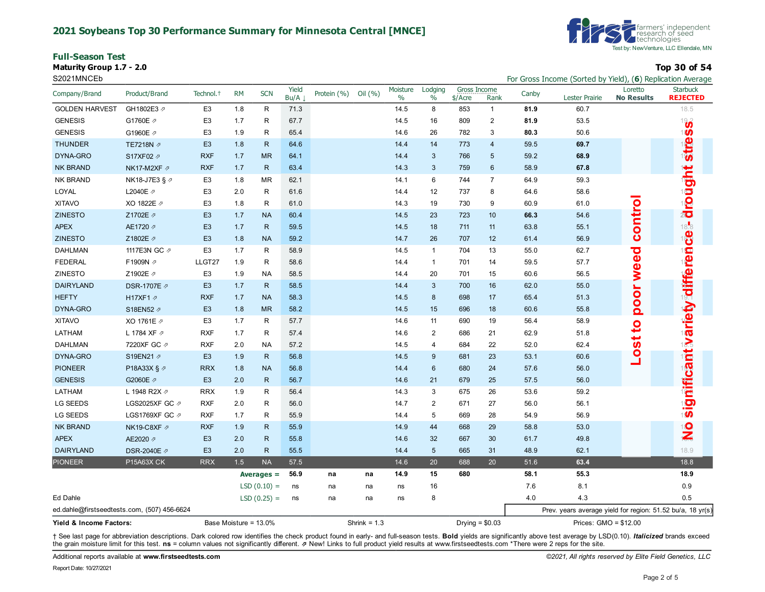#### **2021 Soybeans Top 30 Performance Summary for Minnesota Central [MNCE]**

**Full-Season Test**

**Maturity Group 1.7 - 2.0 Top 30 of 54**



S2021MNCEb For Gross Income (Sorted by Yield), (**6**) Replication Average

| Company/Brand                               | Product/Brand            | Technol. <sup>+</sup> | <b>RM</b> | <b>SCN</b>    | Yield<br>Bu/A | Protein (%)    | Oil (%) | Moisture<br>$\%$ | Lodging<br>$\frac{0}{0}$ | <b>Gross Income</b><br>\$/Acre | Rank             | Canby                 | Lester Prairie                                             | Loretto<br><b>No Results</b> | <b>Starbuck</b><br><b>REJECTED</b> |
|---------------------------------------------|--------------------------|-----------------------|-----------|---------------|---------------|----------------|---------|------------------|--------------------------|--------------------------------|------------------|-----------------------|------------------------------------------------------------|------------------------------|------------------------------------|
| <b>GOLDEN HARVEST</b>                       | GH1802E3 2               | E <sub>3</sub>        | 1.8       | R             | 71.3          |                |         | 14.5             | 8                        | 853                            | $\mathbf{1}$     | 81.9                  | 60.7                                                       |                              | 18.5                               |
| <b>GENESIS</b>                              | G1760E 2                 | E <sub>3</sub>        | 1.7       | R             | 67.7          |                |         | 14.5             | 16                       | 809                            | 2                | 81.9                  | 53.5                                                       |                              | 193                                |
| <b>GENESIS</b>                              | G1960E /                 | E <sub>3</sub>        | 1.9       | R             | 65.4          |                |         | 14.6             | 26                       | 782                            | 3                | 80.3                  | 50.6                                                       |                              | 180                                |
| <b>THUNDER</b>                              | TE7218N 2                | E <sub>3</sub>        | 1.8       | $\mathsf{R}$  | 64.6          |                |         | 14.4             | 14                       | 773                            | $\overline{4}$   | 59.5                  | 69.7                                                       |                              | <b>stre</b>                        |
| DYNA-GRO                                    | S17XF02 2                | <b>RXF</b>            | 1.7       | <b>MR</b>     | 64.1          |                |         | 14.4             | 3                        | 766                            | $\sqrt{5}$       | 59.2                  | 68.9                                                       |                              |                                    |
| <b>NK BRAND</b>                             | NK17-M2XF ∂              | <b>RXF</b>            | 1.7       | $\mathsf{R}$  | 63.4          |                |         | 14.3             | 3                        | 759                            | $\boldsymbol{6}$ | 58.9                  | 67.8                                                       |                              |                                    |
| <b>NK BRAND</b>                             | NK18-J7E3 § ⊅            | E <sub>3</sub>        | 1.8       | <b>MR</b>     | 62.1          |                |         | 14.1             | 6                        | 744                            | $\overline{7}$   | 64.9                  | 59.3                                                       |                              | drought                            |
| LOYAL                                       | L2040E 2                 | E <sub>3</sub>        | 2.0       | R             | 61.6          |                |         | 14.4             | 12                       | 737                            | 8                | 64.6                  | 58.6                                                       |                              |                                    |
| <b>XITAVO</b>                               | XO 1822E 2               | E <sub>3</sub>        | 1.8       | R             | 61.0          |                |         | 14.3             | 19                       | 730                            | 9                | 60.9                  | 61.0                                                       |                              |                                    |
| <b>ZINESTO</b>                              | Z1702E 2                 | E <sub>3</sub>        | 1.7       | <b>NA</b>     | 60.4          |                |         | 14.5             | 23                       | 723                            | 10               | 66.3                  | 54.6                                                       | contro                       |                                    |
| <b>APEX</b>                                 | AE1720 2                 | E <sub>3</sub>        | 1.7       | $\mathsf{R}$  | 59.5          |                |         | 14.5             | 18                       | 711                            | 11               | 63.8                  | 55.1                                                       |                              | 18.8<br>18                         |
| <b>ZINESTO</b>                              | Z1802E 2                 | E <sub>3</sub>        | 1.8       | <b>NA</b>     | 59.2          |                |         | 14.7             | 26                       | 707                            | 12               | 61.4                  | 56.9                                                       |                              |                                    |
| <b>DAHLMAN</b>                              | 1117E3N GC 2             | E <sub>3</sub>        | 1.7       | R             | 58.9          |                |         | 14.5             | $\mathbf{1}$             | 704                            | 13               | 55.0                  | 62.7                                                       |                              |                                    |
| FEDERAL                                     | F1909N 2                 | LLGT27                | 1.9       | R             | 58.6          |                |         | 14.4             | $\mathbf{1}$             | 701                            | 14               | 59.5                  | 57.7                                                       |                              |                                    |
| <b>ZINESTO</b>                              | Z1902E 2                 | E <sub>3</sub>        | 1.9       | <b>NA</b>     | 58.5          |                |         | 14.4             | 20                       | 701                            | 15               | 60.6                  | 56.5                                                       | weed                         |                                    |
| <b>DAIRYLAND</b>                            | DSR-1707E 2              | E <sub>3</sub>        | 1.7       | $\mathsf{R}$  | 58.5          |                |         | 14.4             | $\mathbf{3}$             | 700                            | 16               | 62.0                  | 55.0                                                       |                              |                                    |
| <b>HEFTY</b>                                | H17XF1 a                 | <b>RXF</b>            | 1.7       | <b>NA</b>     | 58.3          |                |         | 14.5             | 8                        | 698                            | 17               | 65.4                  | 51.3                                                       | <b>OOL</b>                   |                                    |
| DYNA-GRO                                    | S18EN52 2                | E <sub>3</sub>        | 1.8       | <b>MR</b>     | 58.2          |                |         | 14.5             | 15                       | 696                            | 18               | 60.6                  | 55.8                                                       | $\bar{\mathbf{o}}$           | s ig nifica nt warie ty differe n  |
| <b>XITAVO</b>                               | XO 1761E 2               | E <sub>3</sub>        | 1.7       | R             | 57.7          |                |         | 14.6             | 11                       | 690                            | 19               | 56.4                  | 58.9                                                       | $\overline{a}$               |                                    |
| LATHAM                                      | L 1784 XF 2              | <b>RXF</b>            | 1.7       | R             | 57.4          |                |         | 14.6             | $\overline{2}$           | 686                            | 21               | 62.9                  | 51.8                                                       |                              |                                    |
| <b>DAHLMAN</b>                              | 7220XF GC 2              | <b>RXF</b>            | 2.0       | <b>NA</b>     | 57.2          |                |         | 14.5             | 4                        | 684                            | 22               | 52.0                  | 62.4                                                       | $\tilde{g}$                  |                                    |
| DYNA-GRO                                    | S19EN21 2                | E <sub>3</sub>        | 1.9       | $\mathsf{R}$  | 56.8          |                |         | 14.5             | 9                        | 681                            | 23               | 53.1                  | 60.6                                                       | q                            |                                    |
| <b>PIONEER</b>                              | P18A33X § 2              | <b>RRX</b>            | 1.8       | <b>NA</b>     | 56.8          |                |         | 14.4             | 6                        | 680                            | 24               | 57.6                  | 56.0                                                       |                              |                                    |
| <b>GENESIS</b>                              | G2060E /                 | E <sub>3</sub>        | 2.0       | $\mathsf{R}$  | 56.7          |                |         | 14.6             | 21                       | 679                            | 25               | 57.5                  | 56.0                                                       |                              |                                    |
| LATHAM                                      | L 1948 R2X $\varnothing$ | <b>RRX</b>            | 1.9       | R             | 56.4          |                |         | 14.3             | 3                        | 675                            | 26               | 53.6                  | 59.2                                                       |                              |                                    |
| LG SEEDS                                    | LGS2025XF GC 2           | <b>RXF</b>            | 2.0       | R             | 56.0          |                |         | 14.7             | $\overline{2}$           | 671                            | 27               | 56.0                  | 56.1                                                       |                              |                                    |
| LG SEEDS                                    | LGS1769XF GC 2           | <b>RXF</b>            | 1.7       | R             | 55.9          |                |         | 14.4             | 5                        | 669                            | 28               | 54.9                  | 56.9                                                       |                              |                                    |
| <b>NK BRAND</b>                             | NK19-C8XF Ø              | <b>RXF</b>            | 1.9       | $\mathsf{R}$  | 55.9          |                |         | 14.9             | 44                       | 668                            | 29               | 58.8                  | 53.0                                                       |                              | $\frac{1}{2}$                      |
| <b>APEX</b>                                 | AE2020 2                 | E <sub>3</sub>        | 2.0       | $\mathsf{R}$  | 55.8          |                |         | 14.6             | 32                       | 667                            | 30               | 61.7                  | 49.8                                                       |                              |                                    |
| <b>DAIRYLAND</b>                            | DSR-2040E 2              | E <sub>3</sub>        | 2.0       | $\mathsf{R}$  | 55.5          |                |         | 14.4             | 5                        | 665                            | 31               | 48.9                  | 62.1                                                       |                              | 18.9                               |
| <b>PIONEER</b>                              | P15A63X CK               | <b>RRX</b>            | 1.5       | <b>NA</b>     | 57.5          |                |         | 14.6             | 20                       | 688                            | 20               | 51.6                  | 63.4                                                       |                              | 18.8                               |
|                                             |                          |                       |           | Averages $=$  | 56.9          | na             | na      | 14.9             | 15                       | 680                            |                  | 58.1                  | 55.3                                                       |                              | 18.9                               |
|                                             |                          |                       |           | $LSD(0.10) =$ | ns            | na             | na      | ns               | 16                       |                                |                  | 7.6                   | 8.1                                                        |                              | 0.9                                |
| Ed Dahle                                    |                          |                       |           | $LSD(0.25) =$ | ns            | na             | na      | ns               | 8                        |                                |                  | 4.0                   | 4.3                                                        |                              | 0.5                                |
| ed.dahle@firstseedtests.com, (507) 456-6624 |                          |                       |           |               |               |                |         |                  |                          |                                |                  |                       | Prev. years average yield for region: 51.52 bu/a, 18 yr(s) |                              |                                    |
| Yield & Income Factors:                     |                          | Base Moisture = 13.0% |           |               |               | Shrink = $1.3$ |         |                  |                          | Drying = $$0.03$               |                  | Prices: GMO = \$12.00 |                                                            |                              |                                    |

+ See last page for abbreviation descriptions. Dark colored row identifies the check product found in early- and full-season tests. Bold yields are significantly above test average by LSD(0.10). Italicized brands exceed the grain moisture limit for this test. **ns** = column values not significantly different. ⇗ New! Links to full product yield results at www.firstseedtests.com \*There were 2 reps for the site.

Additional reports available at **[www.firstseedtests.com](https://www.firstseedtests.com)** *©2021, All rights reserved by Elite Field Genetics, LLC*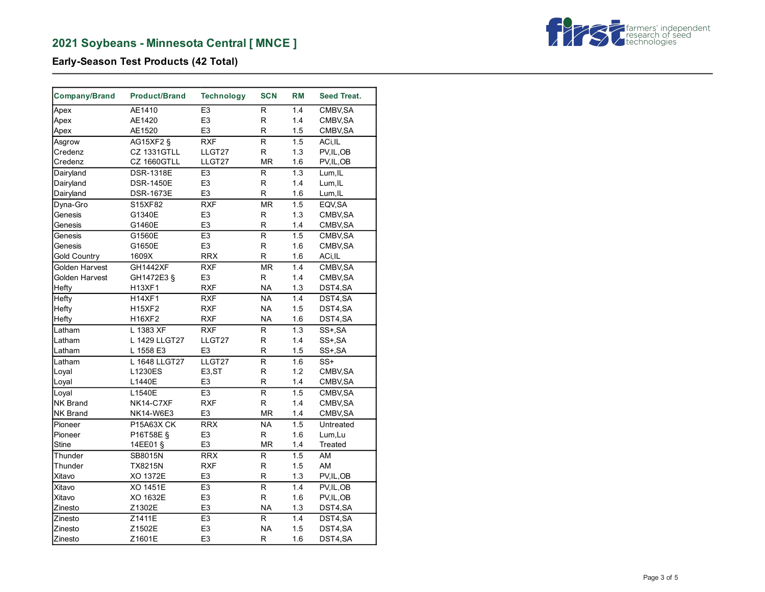

# **Early-Season Test Products (42 Total)**

| Company/Brand       | <b>Product/Brand</b> | <b>Technology</b> | <b>SCN</b>               | <b>RM</b> | <b>Seed Treat.</b> |
|---------------------|----------------------|-------------------|--------------------------|-----------|--------------------|
| Apex                | AE1410               | E <sub>3</sub>    | R.                       | 1.4       | CMBV, SA           |
| Apex                | AE1420               | E <sub>3</sub>    | $\mathsf R$              | 1.4       | CMBV, SA           |
| Apex                | AE1520               | E <sub>3</sub>    | R                        | 1.5       | CMBV, SA           |
| Asgrow              | <b>AG15XF2 §</b>     | <b>RXF</b>        | $\overline{\mathsf{R}}$  | 1.5       | ACi, IL            |
| Credenz             | <b>CZ 1331GTLL</b>   | LLGT27            | R                        | 1.3       | PV, IL, OB         |
| Credenz             | CZ 1660GTLL          | LLGT27            | <b>MR</b>                | 1.6       | PV, IL, OB         |
| Dairyland           | <b>DSR-1318E</b>     | E <sub>3</sub>    | $\mathsf{R}$             | 1.3       | Lum, IL            |
| Dairyland           | <b>DSR-1450E</b>     | E <sub>3</sub>    | $\mathsf R$              | 1.4       | Lum, IL            |
| Dairyland           | <b>DSR-1673E</b>     | E <sub>3</sub>    | R                        | 1.6       | Lum, IL            |
| Dyna-Gro            | S15XF82              | <b>RXF</b>        | $\overline{\text{MR}}$   | 1.5       | EQV, SA            |
| Genesis             | G1340E               | E <sub>3</sub>    | $\mathsf{R}$             | 1.3       | CMBV, SA           |
| Genesis             | G1460E               | E3                | R                        | 1.4       | CMBV, SA           |
| Genesis             | G1560E               | E <sub>3</sub>    | ${\sf R}$                | 1.5       | CMBV, SA           |
| Genesis             | G1650E               | E <sub>3</sub>    | R                        | 1.6       | CMBV, SA           |
| <b>Gold Country</b> | 1609X                | <b>RRX</b>        | ${\sf R}$                | 1.6       | ACi, IL            |
| Golden Harvest      | <b>GH1442XF</b>      | <b>RXF</b>        | $\overline{\mathsf{MR}}$ | 1.4       | CMBV, SA           |
| Golden Harvest      | GH1472E3 §           | E <sub>3</sub>    | R                        | 1.4       | CMBV, SA           |
| Hefty               | H13XF1               | <b>RXF</b>        | <b>NA</b>                | 1.3       | DST4,SA            |
| Hefty               | H14XF1               | <b>RXF</b>        | $\overline{\mathsf{NA}}$ | 1.4       | DST4,SA            |
| Hefty               | <b>H15XF2</b>        | <b>RXF</b>        | <b>NA</b>                | 1.5       | DST4,SA            |
| Hefty               | H16XF2               | <b>RXF</b>        | <b>NA</b>                | 1.6       | DST4,SA            |
| Latham              | L 1383 XF            | <b>RXF</b>        | $\mathsf{R}$             | 1.3       | SS+, SA            |
| Latham              | L 1429 LLGT27        | LLGT27            | ${\sf R}$                | 1.4       | SS+, SA            |
| Latham              | L 1558 E3            | E <sub>3</sub>    | $\mathsf R$              | 1.5       | SS+, SA            |
| Latham              | L 1648 LLGT27        | LLGT27            | $\mathsf R$              | 1.6       | $SS+$              |
| Loyal               | L1230ES              | E3,ST             | R                        | 1.2       | CMBV, SA           |
| Loyal               | L1440E               | E <sub>3</sub>    | R                        | 1.4       | CMBV, SA           |
| Loyal               | L1540E               | E3                | $\overline{R}$           | 1.5       | CMBV, SA           |
| <b>NK Brand</b>     | NK14-C7XF            | <b>RXF</b>        | $\mathsf R$              | 1.4       | CMBV, SA           |
| NK Brand            | NK14-W6E3            | E <sub>3</sub>    | <b>MR</b>                | 1.4       | CMBV, SA           |
| Pioneer             | P15A63X CK           | <b>RRX</b>        | NA                       | 1.5       | Untreated          |
| Pioneer             | P16T58E §            | E <sub>3</sub>    | $\mathsf R$              | 1.6       | Lum,Lu             |
| <b>Stine</b>        | 14EE01 §             | E3                | <b>MR</b>                | 1.4       | Treated            |
| Thunder             | SB8015N              | <b>RRX</b>        | $\mathsf R$              | 1.5       | AM                 |
| Thunder             | <b>TX8215N</b>       | <b>RXF</b>        | R                        | 1.5       | AM                 |
| Xitavo              | XO 1372E             | E <sub>3</sub>    | $\mathsf R$              | 1.3       | PV, IL, OB         |
| Xitavo              | XO 1451E             | E <sub>3</sub>    | $\overline{R}$           | 1.4       | PV, IL, OB         |
| Xitavo              | XO 1632E             | E <sub>3</sub>    | R                        | 1.6       | PV, IL, OB         |
| Zinesto             | Z1302E               | E <sub>3</sub>    | <b>NA</b>                | 1.3       | DST4,SA            |
| Zinesto             | Z1411E               | E <sub>3</sub>    | $\mathsf{R}$             | 1.4       | DST4,SA            |
| Zinesto             | Z1502E               | E <sub>3</sub>    | <b>NA</b>                | 1.5       | DST4,SA            |
| Zinesto             | Z1601E               | E <sub>3</sub>    | R                        | 1.6       | DST4,SA            |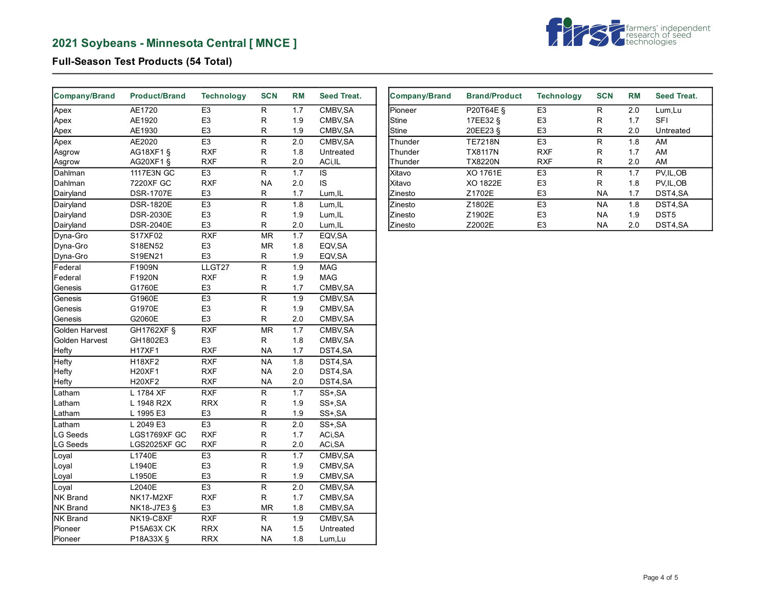

# **Full-Season Test Products (54 Total)**

| Company/Brand   | <b>Product/Brand</b> | <b>Technology</b> | <b>SCN</b>               | <b>RM</b> | Seed Treat. |
|-----------------|----------------------|-------------------|--------------------------|-----------|-------------|
| Apex            | AE1720               | E <sub>3</sub>    | R                        | 1.7       | CMBV, SA    |
| Apex            | AE1920               | E3                | $\mathsf R$              | 1.9       | CMBV, SA    |
| Apex            | AE1930               | E <sub>3</sub>    | R                        | 1.9       | CMBV, SA    |
| Apex            | AE2020               | E <sub>3</sub>    | $\mathsf R$              | 2.0       | CMBV, SA    |
| Asgrow          | AG18XF1 §            | <b>RXF</b>        | R                        | 1.8       | Untreated   |
| Asgrow          | AG20XF1 §            | RXF               | R                        | 2.0       | ACi,IL      |
| Dahlman         | 1117E3N GC           | E <sub>3</sub>    | $\overline{\mathsf{R}}$  | 1.7       | IS          |
| Dahlman         | 7220XF GC            | <b>RXF</b>        | <b>NA</b>                | 2.0       | IS          |
| Dairyland       | <b>DSR-1707E</b>     | E <sub>3</sub>    | R                        | 1.7       | Lum, IL     |
| Dairyland       | <b>DSR-1820E</b>     | E <sub>3</sub>    | $\overline{R}$           | 1.8       | Lum, IL     |
| Dairyland       | <b>DSR-2030E</b>     | E <sub>3</sub>    | $\mathsf R$              | 1.9       | Lum, IL     |
| Dairyland       | <b>DSR-2040E</b>     | E <sub>3</sub>    | $\mathsf R$              | 2.0       | Lum, IL     |
| Dyna-Gro        | S17XF02              | <b>RXF</b>        | MR                       | 1.7       | EQV, SA     |
| Dyna-Gro        | S18EN52              | E <sub>3</sub>    | <b>MR</b>                | 1.8       | EQV, SA     |
| Dyna-Gro        | S19EN21              | E <sub>3</sub>    | $\mathsf R$              | 1.9       | EQV, SA     |
| Federal         | F1909N               | LLGT27            | R                        | 1.9       | <b>MAG</b>  |
| Federal         | F1920N               | <b>RXF</b>        | R                        | 1.9       | MAG         |
| Genesis         | G1760E               | E <sub>3</sub>    | R                        | 1.7       | CMBV, SA    |
| Genesis         | G1960E               | E <sub>3</sub>    | R                        | 1.9       | CMBV, SA    |
| Genesis         | G1970E               | E <sub>3</sub>    | R                        | 1.9       | CMBV, SA    |
| Genesis         | G2060E               | E <sub>3</sub>    | R                        | 2.0       | CMBV, SA    |
| Golden Harvest  | GH1762XF §           | <b>RXF</b>        | $\overline{\mathsf{MR}}$ | 1.7       | CMBV, SA    |
| Golden Harvest  | GH1802E3             | E <sub>3</sub>    | ${\sf R}$                | 1.8       | CMBV, SA    |
| Hefty           | <b>H17XF1</b>        | <b>RXF</b>        | <b>NA</b>                | 1.7       | DST4,SA     |
| Hefty           | <b>H18XF2</b>        | <b>RXF</b>        | <b>NA</b>                | 1.8       | DST4,SA     |
| Hefty           | <b>H20XF1</b>        | <b>RXF</b>        | <b>NA</b>                | 2.0       | DST4,SA     |
| Hefty           | H20XF2               | <b>RXF</b>        | <b>NA</b>                | 2.0       | DST4,SA     |
| Latham          | L 1784 XF            | <b>RXF</b>        | $\overline{R}$           | 1.7       | SS+, SA     |
| Latham          | L 1948 R2X           | <b>RRX</b>        | R                        | 1.9       | SS+,SA      |
| Latham          | L 1995 E3            | E <sub>3</sub>    | $\mathsf R$              | 1.9       | SS+, SA     |
| Latham          | L 2049 E3            | E <sub>3</sub>    | $\mathsf R$              | 2.0       | SS+, SA     |
| <b>LG Seeds</b> | LGS1769XF GC         | <b>RXF</b>        | R                        | 1.7       | ACi, SA     |
| <b>LG Seeds</b> | LGS2025XF GC         | <b>RXF</b>        | R                        | 2.0       | ACi, SA     |
| Loyal           | L1740E               | E <sub>3</sub>    | $\overline{R}$           | 1.7       | CMBV, SA    |
| Loyal           | L1940E               | E <sub>3</sub>    | R                        | 1.9       | CMBV, SA    |
| Loyal           | L1950E               | E <sub>3</sub>    | R                        | 1.9       | CMBV, SA    |
| Loyal           | L2040E               | E <sub>3</sub>    | ${\sf R}$                | 2.0       | CMBV, SA    |
| <b>NK Brand</b> | NK17-M2XF            | <b>RXF</b>        | $\mathsf R$              | 1.7       | CMBV, SA    |
| NK Brand        | NK18-J7E3 §          | E <sub>3</sub>    | MR                       | 1.8       | CMBV, SA    |
| NK Brand        | NK19-C8XF            | <b>RXF</b>        | $\mathsf R$              | 1.9       | CMBV, SA    |
| Pioneer         | P15A63X CK           | <b>RRX</b>        | <b>NA</b>                | 1.5       | Untreated   |
| Pioneer         | P18A33X §            | <b>RRX</b>        | <b>NA</b>                | 1.8       | Lum,Lu      |

| <b>Company/Brand</b> | <b>Brand/Product</b> | <b>Technology</b> | <b>SCN</b> | <b>RM</b> | Seed Treat.      |
|----------------------|----------------------|-------------------|------------|-----------|------------------|
| <b>Pioneer</b>       | <b>P20T64E §</b>     | E <sub>3</sub>    | R          | 2.0       | Lum, Lu          |
| <b>Stine</b>         | 17EE32 §             | E <sub>3</sub>    | R          | 1.7       | <b>SFI</b>       |
| <b>Stine</b>         | 20EE23 §             | E <sub>3</sub>    | R          | 2.0       | Untreated        |
| Thunder              | <b>TE7218N</b>       | E <sub>3</sub>    | R          | 1.8       | AM               |
| Thunder              | <b>TX8117N</b>       | <b>RXF</b>        | R          | 1.7       | AM               |
| Thunder              | <b>TX8220N</b>       | <b>RXF</b>        | R          | 2.0       | AM               |
| Xitavo               | XO 1761E             | E <sub>3</sub>    | R          | 1.7       | PV.IL.OB         |
| lXitavo              | XO 1822E             | E <sub>3</sub>    | R          | 1.8       | PV.IL.OB         |
| Zinesto              | Z1702E               | E <sub>3</sub>    | <b>NA</b>  | 1.7       | DST4,SA          |
| Zinesto              | Z1802E               | E <sub>3</sub>    | <b>NA</b>  | 1.8       | DST4.SA          |
| Zinesto              | Z1902E               | E <sub>3</sub>    | <b>NA</b>  | 1.9       | DST <sub>5</sub> |
| Zinesto              | Z2002E               | E <sub>3</sub>    | <b>NA</b>  | 2.0       | DST4.SA          |